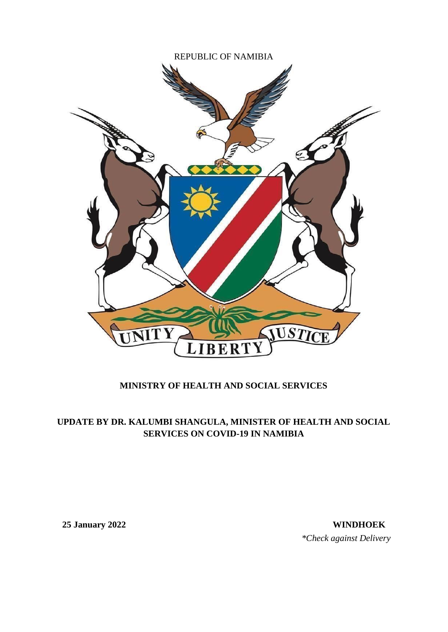

## **MINISTRY OF HEALTH AND SOCIAL SERVICES**

## **UPDATE BY DR. KALUMBI SHANGULA, MINISTER OF HEALTH AND SOCIAL SERVICES ON COVID-19 IN NAMIBIA**

**25 January 2022 WINDHOEK** *\*Check against Delivery*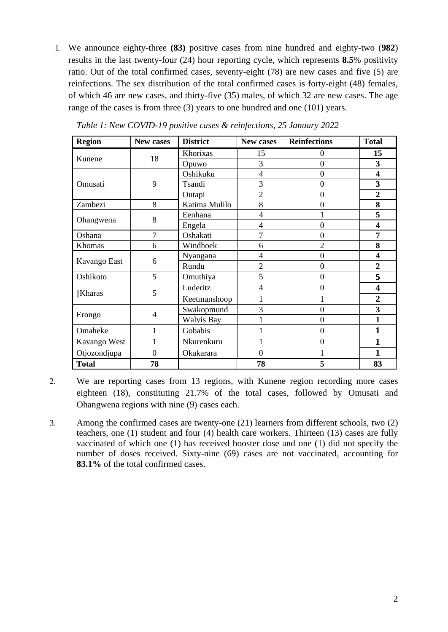1. We announce eighty-three **(83)** positive cases from nine hundred and eighty-two (**982**) results in the last twenty-four (24) hour reporting cycle, which represents **8.5**% positivity ratio. Out of the total confirmed cases, seventy-eight (78) are new cases and five (5) are reinfections. The sex distribution of the total confirmed cases is forty-eight (48) females, of which 46 are new cases, and thirty-five (35) males, of which 32 are new cases. The age range of the cases is from three (3) years to one hundred and one (101) years.

| <b>Region</b> | New cases        | <b>District</b>   | New cases        | <b>Reinfections</b> | <b>Total</b>            |
|---------------|------------------|-------------------|------------------|---------------------|-------------------------|
| Kunene        | 18               | Khorixas          | 15               | 0                   | 15                      |
|               |                  | Opuwo             | 3                | $\overline{0}$      | 3                       |
|               |                  | Oshikuku          | 4                | $\overline{0}$      | $\overline{\mathbf{4}}$ |
| Omusati       | 9                | Tsandi            | 3                | 0                   | 3                       |
|               |                  | Outapi            | $\overline{c}$   | $\overline{0}$      | $\overline{2}$          |
| Zambezi       | 8                | Katima Mulilo     | 8                | 0                   | 8                       |
|               | 8                | Eenhana           | 4                |                     | 5                       |
| Ohangwena     |                  | Engela            | 4                | $\overline{0}$      | 4                       |
| Oshana        | $\overline{7}$   | Oshakati          | 7                | 0                   | 7                       |
| Khomas        | 6                | Windhoek          | 6                | $\overline{c}$      | 8                       |
|               |                  | Nyangana          | 4                | $\overline{0}$      | 4                       |
| Kavango East  | 6                | Rundu             | $\overline{2}$   | 0                   | $\overline{2}$          |
| Oshikoto      | 5                | Omuthiya          | 5                | $\theta$            | 5                       |
| <b>Kharas</b> | 5                | Luderitz          | 4                | $\overline{0}$      | 4                       |
|               |                  | Keetmanshoop      | 1                | 1                   | $\overline{2}$          |
|               | $\overline{4}$   | Swakopmund        | 3                | $\overline{0}$      | 3                       |
| Erongo        |                  | <b>Walvis Bay</b> |                  | $\overline{0}$      | 1                       |
| Omaheke       | 1                | Gobabis           |                  | $\overline{0}$      | 1                       |
| Kavango West  |                  | Nkurenkuru        |                  | $\boldsymbol{0}$    | 1                       |
| Otjozondjupa  | $\boldsymbol{0}$ | Okakarara         | $\boldsymbol{0}$ |                     | 1                       |
| <b>Total</b>  | 78               |                   | 78               | 5                   | 83                      |

*Table 1: New COVID-19 positive cases & reinfections, 25 January 2022*

2. We are reporting cases from 13 regions, with Kunene region recording more cases eighteen (18), constituting 21.7% of the total cases, followed by Omusati and Ohangwena regions with nine (9) cases each.

3. Among the confirmed cases are twenty-one (21) learners from different schools, two (2) teachers, one (1) student and four (4) health care workers. Thirteen (13) cases are fully vaccinated of which one (1) has received booster dose and one (1) did not specify the number of doses received. Sixty-nine (69) cases are not vaccinated, accounting for **83.1%** of the total confirmed cases.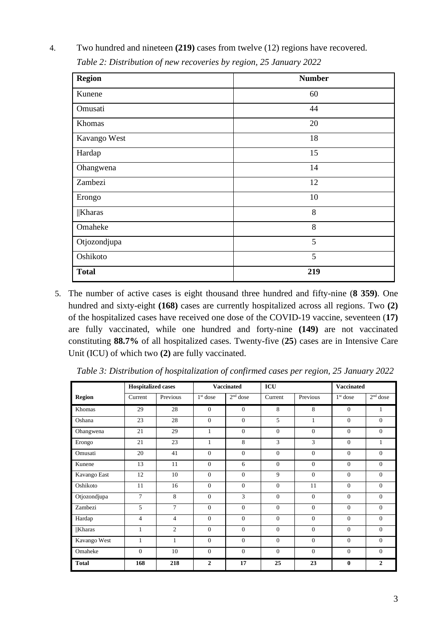| <b>Region</b> | <b>Number</b> |
|---------------|---------------|
| Kunene        | 60            |
| Omusati       | 44            |
| Khomas        | 20            |
| Kavango West  | 18            |
| Hardap        | 15            |
| Ohangwena     | 14            |
| Zambezi       | 12            |
| Erongo        | 10            |
| $\ $ Kharas   | 8             |
| Omaheke       | 8             |
| Otjozondjupa  | 5             |
| Oshikoto      | 5             |
| <b>Total</b>  | 219           |

4. Two hundred and nineteen **(219)** cases from twelve (12) regions have recovered.  *Table 2: Distribution of new recoveries by region, 25 January 2022*

5. The number of active cases is eight thousand three hundred and fifty-nine (**8 359)**. One hundred and sixty-eight **(168)** cases are currently hospitalized across all regions. Two **(2)** of the hospitalized cases have received one dose of the COVID-19 vaccine, seventeen (**17)** are fully vaccinated, while one hundred and forty-nine **(149)** are not vaccinated constituting **88.7%** of all hospitalized cases. Twenty-five (**25**) cases are in Intensive Care Unit (ICU) of which two **(2)** are fully vaccinated.

|               | <b>Hospitalized cases</b> |                |                | <b>Vaccinated</b> | ICU          |              | <b>Vaccinated</b> |                |
|---------------|---------------------------|----------------|----------------|-------------------|--------------|--------------|-------------------|----------------|
| <b>Region</b> | Current                   | Previous       | $1st$ dose     | $2nd$ dose        | Current      | Previous     | $1st$ dose        | $2nd$ dose     |
| Khomas        | 29                        | 28             | $\Omega$       | $\overline{0}$    | 8            | 8            | $\Omega$          | 1              |
| Oshana        | 23                        | 28             | $\mathbf{0}$   | $\mathbf{0}$      | 5            | $\mathbf{1}$ | $\mathbf{0}$      | $\overline{0}$ |
| Ohangwena     | 21                        | 29             | $\mathbf{1}$   | $\Omega$          | $\theta$     | $\Omega$     | $\mathbf{0}$      | $\mathbf{0}$   |
| Erongo        | 21                        | 23             | $\mathbf{1}$   | 8                 | $\mathbf{3}$ | 3            | $\mathbf{0}$      | $\mathbf{1}$   |
| Omusati       | 20                        | 41             | $\theta$       | $\theta$          | $\theta$     | $\theta$     | $\theta$          | $\Omega$       |
| Kunene        | 13                        | 11             | $\overline{0}$ | 6                 | $\theta$     | $\theta$     | $\overline{0}$    | $\overline{0}$ |
| Kavango East  | 12                        | 10             | $\overline{0}$ | $\overline{0}$    | 9            | $\theta$     | $\mathbf{0}$      | $\overline{0}$ |
| Oshikoto      | 11                        | 16             | $\mathbf{0}$   | $\overline{0}$    | $\mathbf{0}$ | 11           | $\mathbf{0}$      | $\overline{0}$ |
| Otjozondjupa  | $\tau$                    | 8              | $\mathbf{0}$   | 3                 | $\mathbf{0}$ | $\mathbf{0}$ | $\mathbf{0}$      | $\mathbf{0}$   |
| Zambezi       | 5                         | $\overline{7}$ | $\theta$       | $\Omega$          | $\Omega$     | $\theta$     | $\mathbf{0}$      | $\Omega$       |
| Hardap        | 4                         | $\overline{4}$ | $\mathbf{0}$   | $\mathbf{0}$      | $\mathbf{0}$ | $\mathbf{0}$ | $\mathbf{0}$      | $\mathbf{0}$   |
| $\ $ Kharas   | 1                         | $\overline{2}$ | $\Omega$       | $\Omega$          | $\Omega$     | $\Omega$     | $\overline{0}$    | $\Omega$       |
| Kavango West  | 1                         | $\mathbf{1}$   | $\mathbf{0}$   | $\overline{0}$    | $\Omega$     | $\Omega$     | $\overline{0}$    | $\Omega$       |
| Omaheke       | $\overline{0}$            | 10             | $\overline{0}$ | $\overline{0}$    | $\Omega$     | $\Omega$     | $\overline{0}$    | $\overline{0}$ |
| <b>Total</b>  | 168                       | 218            | $\overline{2}$ | 17                | 25           | 23           | $\bf{0}$          | $\mathbf{2}$   |

*Table 3: Distribution of hospitalization of confirmed cases per region, 25 January 2022*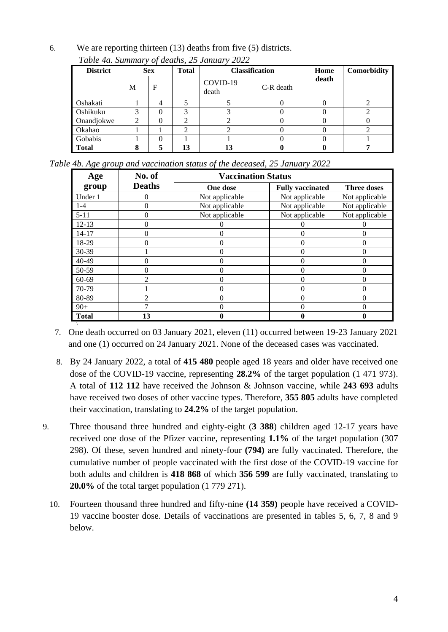6. We are reporting thirteen (13) deaths from five (5) districts.

| <b>District</b> | <b>Sex</b> |   | <b>Total</b> | <b>Classification</b> |           | Home  | Comorbidity |
|-----------------|------------|---|--------------|-----------------------|-----------|-------|-------------|
|                 | M          | F |              | COVID-19<br>death     | C-R death | death |             |
| Oshakati        |            | 4 |              |                       |           |       |             |
| Oshikuku        | 3          |   | 3            |                       |           |       |             |
| Onandjokwe      | ↑          |   | ◠            |                       |           |       |             |
| Okahao          |            |   | ◠            |                       |           |       |             |
| Gobabis         |            |   |              |                       |           |       |             |
| <b>Total</b>    |            |   | 13           |                       |           |       |             |

*Table 4a. Summary of deaths, 25 January 2022*

|  |  |  | Table 4b. Age group and vaccination status of the deceased, 25 January 2022 |  |  |
|--|--|--|-----------------------------------------------------------------------------|--|--|
|  |  |  |                                                                             |  |  |

| Age          | No. of        |                | <b>Vaccination Status</b> |                    |  |  |  |
|--------------|---------------|----------------|---------------------------|--------------------|--|--|--|
| group        | <b>Deaths</b> | One dose       | <b>Fully vaccinated</b>   | <b>Three doses</b> |  |  |  |
| Under 1      |               | Not applicable | Not applicable            | Not applicable     |  |  |  |
| $1 - 4$      | 0             | Not applicable | Not applicable            | Not applicable     |  |  |  |
| $5 - 11$     | $\mathbf{0}$  | Not applicable | Not applicable            | Not applicable     |  |  |  |
| $12 - 13$    |               |                |                           |                    |  |  |  |
| $14 - 17$    | 0             |                | $\Omega$                  | 0                  |  |  |  |
| 18-29        |               |                | 0                         | 0                  |  |  |  |
| 30-39        |               |                | 0                         | 0                  |  |  |  |
| 40-49        |               |                |                           | 0                  |  |  |  |
| 50-59        |               |                | 0                         | 0                  |  |  |  |
| 60-69        | ∍             |                |                           | 0                  |  |  |  |
| 70-79        |               |                | 0                         | 0                  |  |  |  |
| 80-89        | ി             |                |                           | 0                  |  |  |  |
| $90+$        |               | 0              |                           | 0                  |  |  |  |
| <b>Total</b> | 13            |                | 0                         |                    |  |  |  |

\ 7. One death occurred on 03 January 2021, eleven (11) occurred between 19-23 January 2021 and one (1) occurred on 24 January 2021. None of the deceased cases was vaccinated.

- 8. By 24 January 2022, a total of **415 480** people aged 18 years and older have received one dose of the COVID-19 vaccine, representing **28.2%** of the target population (1 471 973). A total of **112 112** have received the Johnson & Johnson vaccine, while **243 693** adults have received two doses of other vaccine types. Therefore, **355 805** adults have completed their vaccination, translating to **24.2%** of the target population.
- 9. Three thousand three hundred and eighty-eight (**3 388**) children aged 12-17 years have received one dose of the Pfizer vaccine, representing **1.1%** of the target population (307 298). Of these, seven hundred and ninety-four **(794)** are fully vaccinated. Therefore, the cumulative number of people vaccinated with the first dose of the COVID-19 vaccine for both adults and children is **418 868** of which **356 599** are fully vaccinated, translating to **20.0%** of the total target population (1 779 271).
	- 10. Fourteen thousand three hundred and fifty-nine **(14 359)** people have received a COVID-19 vaccine booster dose. Details of vaccinations are presented in tables 5, 6, 7, 8 and 9 below.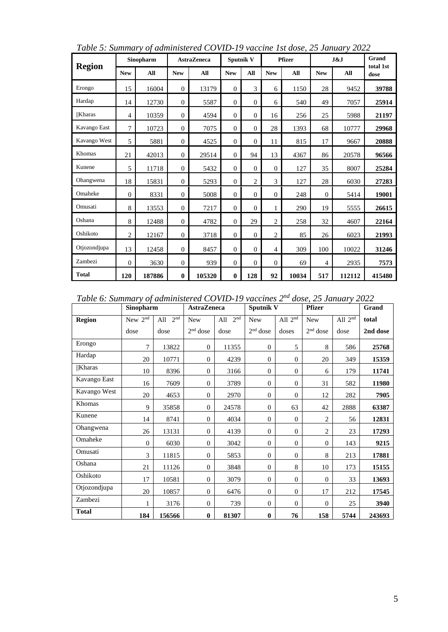| <b>Region</b> | Sinopharm      |        | <b>AstraZeneca</b> |        | <b>Sputnik V</b> |                | <b>Pfizer</b>  |       | J&J        |        | Grand<br>total 1st |
|---------------|----------------|--------|--------------------|--------|------------------|----------------|----------------|-------|------------|--------|--------------------|
|               | <b>New</b>     | All    | <b>New</b>         | All    | <b>New</b>       | All            | <b>New</b>     | All   | <b>New</b> | All    | dose               |
| Erongo        | 15             | 16004  | $\boldsymbol{0}$   | 13179  | $\theta$         | 3              | 6              | 1150  | 28         | 9452   | 39788              |
| Hardap        | 14             | 12730  | $\mathbf{0}$       | 5587   | $\theta$         | $\Omega$       | 6              | 540   | 49         | 7057   | 25914              |
| <b>Kharas</b> | 4              | 10359  | $\theta$           | 4594   | $\Omega$         | $\Omega$       | 16             | 256   | 25         | 5988   | 21197              |
| Kavango East  | $\overline{7}$ | 10723  | $\theta$           | 7075   | $\Omega$         | $\Omega$       | 28             | 1393  | 68         | 10777  | 29968              |
| Kavango West  | 5              | 5881   | $\mathbf{0}$       | 4525   | $\theta$         | $\theta$       | 11             | 815   | 17         | 9667   | 20888              |
| Khomas        | 21             | 42013  | $\mathbf{0}$       | 29514  | $\Omega$         | 94             | 13             | 4367  | 86         | 20578  | 96566              |
| Kunene        | 5              | 11718  | $\mathbf{0}$       | 5432   | $\theta$         | $\Omega$       | $\theta$       | 127   | 35         | 8007   | 25284              |
| Ohangwena     | 18             | 15831  | $\mathbf{0}$       | 5293   | $\Omega$         | $\overline{c}$ | 3              | 127   | 28         | 6030   | 27283              |
| Omaheke       | $\theta$       | 8331   | $\mathbf{0}$       | 5008   | $\mathbf{0}$     | $\overline{0}$ | $\mathbf{0}$   | 248   | $\theta$   | 5414   | 19001              |
| Omusati       | 8              | 13553  | $\mathbf{0}$       | 7217   | $\theta$         | $\theta$       | 1              | 290   | 19         | 5555   | 26615              |
| Oshana        | 8              | 12488  | $\theta$           | 4782   | $\Omega$         | 29             | $\overline{2}$ | 258   | 32         | 4607   | 22164              |
| Oshikoto      | $\overline{2}$ | 12167  | $\theta$           | 3718   | $\mathbf{0}$     | $\overline{0}$ | $\overline{2}$ | 85    | 26         | 6023   | 21993              |
| Otjozondjupa  | 13             | 12458  | $\mathbf{0}$       | 8457   | $\theta$         | $\theta$       | 4              | 309   | 100        | 10022  | 31246              |
| Zambezi       | $\theta$       | 3630   | $\mathbf{0}$       | 939    | $\theta$         | $\theta$       | $\Omega$       | 69    | 4          | 2935   | 7573               |
| <b>Total</b>  | 120            | 187886 | $\bf{0}$           | 105320 | $\bf{0}$         | 128            | 92             | 10034 | 517        | 112112 | 415480             |

*Table 5: Summary of administered COVID-19 vaccine 1st dose, 25 January 2022*

*Table 6: Summary of administered COVID-19 vaccines 2nd dose, 25 January 2022*

|               | Sinopharm           |                        | <b>AstraZeneca</b> |                        | <b>Sputnik V</b> |                  | <b>Pfizer</b>  |           | Grand    |
|---------------|---------------------|------------------------|--------------------|------------------------|------------------|------------------|----------------|-----------|----------|
| <b>Region</b> | New 2 <sup>nd</sup> | 2 <sup>nd</sup><br>All | <b>New</b>         | 2 <sup>nd</sup><br>All | <b>New</b>       | All $2nd$        | <b>New</b>     | All $2nd$ | total    |
|               | dose                | dose                   | $2nd$ dose         | dose                   | $2nd$ dose       | doses            | $2nd$ dose     | dose      | 2nd dose |
| Erongo        | 7                   | 13822                  | $\overline{0}$     | 11355                  | $\mathbf{0}$     | 5                | 8              | 586       | 25768    |
| Hardap        | 20                  | 10771                  | $\mathbf{0}$       | 4239                   | $\theta$         | $\theta$         | 20             | 349       | 15359    |
| Kharas        | 10                  | 8396                   | $\mathbf{0}$       | 3166                   | $\theta$         | $\theta$         | 6              | 179       | 11741    |
| Kavango East  | 16                  | 7609                   | $\mathbf{0}$       | 3789                   | $\mathbf{0}$     | $\theta$         | 31             | 582       | 11980    |
| Kavango West  | 20                  | 4653                   | $\mathbf{0}$       | 2970                   | $\mathbf{0}$     | $\theta$         | 12             | 282       | 7905     |
| Khomas        | 9                   | 35858                  | $\mathbf{0}$       | 24578                  | $\mathbf{0}$     | 63               | 42             | 2888      | 63387    |
| Kunene        | 14                  | 8741                   | $\mathbf{0}$       | 4034                   | $\mathbf{0}$     | $\theta$         | $\overline{2}$ | 56        | 12831    |
| Ohangwena     | 26                  | 13131                  | $\mathbf{0}$       | 4139                   | $\overline{0}$   | $\theta$         | $\overline{2}$ | 23        | 17293    |
| Omaheke       | $\mathbf{0}$        | 6030                   | $\mathbf{0}$       | 3042                   | $\mathbf{0}$     | $\theta$         | $\mathbf{0}$   | 143       | 9215     |
| Omusati       | 3                   | 11815                  | $\Omega$           | 5853                   | $\mathbf{0}$     | $\theta$         | 8              | 213       | 17881    |
| Oshana        | 21                  | 11126                  | $\mathbf{0}$       | 3848                   | $\mathbf{0}$     | 8                | 10             | 173       | 15155    |
| Oshikoto      | 17                  | 10581                  | $\mathbf{0}$       | 3079                   | $\theta$         | $\boldsymbol{0}$ | $\theta$       | 33        | 13693    |
| Otjozondjupa  | 20                  | 10857                  | $\mathbf{0}$       | 6476                   | $\theta$         | $\theta$         | 17             | 212       | 17545    |
| Zambezi       | 1                   | 3176                   | $\mathbf{0}$       | 739                    | $\overline{0}$   | $\theta$         | $\mathbf{0}$   | 25        | 3940     |
| <b>Total</b>  | 184                 | 156566                 | $\bf{0}$           | 81307                  | $\bf{0}$         | 76               | 158            | 5744      | 243693   |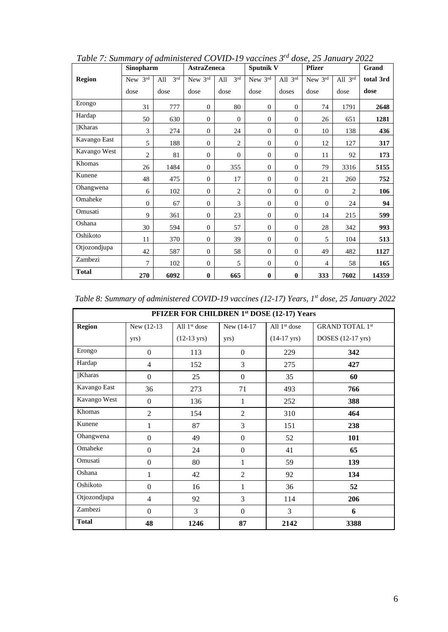|               | Sinopharm      |                        |                  | <b>AstraZeneca</b>     |                | Sputnik V                      | <b>Pfizer</b>  |                | Grand     |
|---------------|----------------|------------------------|------------------|------------------------|----------------|--------------------------------|----------------|----------------|-----------|
| <b>Region</b> | New $3rd$      | 3 <sup>rd</sup><br>All | New 3rd          | 3 <sup>rd</sup><br>All | New 3rd        | All $3^{\overline{\text{rd}}}$ | New 3rd        | All 3rd        | total 3rd |
|               | dose           | dose                   | dose             | dose                   | dose           | doses                          | dose           | dose           | dose      |
| Erongo        | 31             | 777                    | $\mathbf{0}$     | 80                     | $\overline{0}$ | $\mathbf{0}$                   | 74             | 1791           | 2648      |
| Hardap        | 50             | 630                    | $\mathbf{0}$     | $\theta$               | $\mathbf{0}$   | $\mathbf{0}$                   | 26             | 651            | 1281      |
| $\ $ Kharas   | 3              | 274                    | $\boldsymbol{0}$ | 24                     | $\mathbf{0}$   | $\boldsymbol{0}$               | 10             | 138            | 436       |
| Kavango East  | 5              | 188                    | $\mathbf{0}$     | $\overline{2}$         | $\mathbf{0}$   | $\mathbf{0}$                   | 12             | 127            | 317       |
| Kavango West  | $\mathbf{2}$   | 81                     | $\boldsymbol{0}$ | $\boldsymbol{0}$       | $\mathbf{0}$   | $\mathbf{0}$                   | 11             | 92             | 173       |
| Khomas        | 26             | 1484                   | $\mathbf{0}$     | 355                    | $\mathbf{0}$   | $\mathbf{0}$                   | 79             | 3316           | 5155      |
| Kunene        | 48             | 475                    | $\mathbf{0}$     | 17                     | $\mathbf{0}$   | $\mathbf{0}$                   | $21\,$         | 260            | 752       |
| Ohangwena     | 6              | 102                    | $\mathbf{0}$     | $\mathbf{2}$           | $\mathbf{0}$   | $\mathbf{0}$                   | $\overline{0}$ | $\overline{c}$ | 106       |
| Omaheke       | $\overline{0}$ | 67                     | $\mathbf{0}$     | 3                      | $\mathbf{0}$   | $\mathbf{0}$                   | $\overline{0}$ | 24             | 94        |
| Omusati       | 9              | 361                    | $\mathbf{0}$     | 23                     | $\mathbf{0}$   | $\mathbf{0}$                   | 14             | 215            | 599       |
| Oshana        | 30             | 594                    | $\Omega$         | 57                     | $\Omega$       | $\mathbf{0}$                   | 28             | 342            | 993       |
| Oshikoto      | 11             | 370                    | $\mathbf{0}$     | 39                     | $\mathbf{0}$   | $\mathbf{0}$                   | 5              | 104            | 513       |
| Otjozondjupa  | 42             | 587                    | $\mathbf{0}$     | 58                     | $\mathbf{0}$   | $\mathbf{0}$                   | 49             | 482            | 1127      |
| Zambezi       | 7              | 102                    | $\boldsymbol{0}$ | 5                      | $\mathbf{0}$   | $\boldsymbol{0}$               | $\overline{4}$ | 58             | 165       |
| <b>Total</b>  | 270            | 6092                   | $\bf{0}$         | 665                    | $\bf{0}$       | $\bf{0}$                       | 333            | 7602           | 14359     |

*Table 7: Summary of administered COVID-19 vaccines 3rd dose, 25 January 2022*

| Table 8: Summary of administered COVID-19 vaccines (12-17) Years, 1 <sup>st</sup> dose, 25 January 2022 |  |  |  |
|---------------------------------------------------------------------------------------------------------|--|--|--|
|---------------------------------------------------------------------------------------------------------|--|--|--|

| PFIZER FOR CHILDREN 1st DOSE (12-17) Years |                  |                       |                |                       |                        |  |  |  |  |  |
|--------------------------------------------|------------------|-----------------------|----------------|-----------------------|------------------------|--|--|--|--|--|
| <b>Region</b>                              | New (12-13)      | All $1st$ dose        | New (14-17)    | All $1st$ dose        | <b>GRAND TOTAL 1st</b> |  |  |  |  |  |
|                                            | yrs)             | $(12-13 \text{ yrs})$ | yrs)           | $(14-17 \text{ yrs})$ | DOSES (12-17 yrs)      |  |  |  |  |  |
| Erongo                                     | $\Omega$         | 113                   | $\theta$       | 229                   | 342                    |  |  |  |  |  |
| Hardap                                     | $\overline{4}$   | 152                   | 3              | 275                   | 427                    |  |  |  |  |  |
| Kharas                                     | $\Omega$         | 25                    | $\theta$       | 35                    | 60                     |  |  |  |  |  |
| Kavango East                               | 36               | 273                   | 71             | 493                   | 766                    |  |  |  |  |  |
| Kavango West                               | $\boldsymbol{0}$ | 136                   | $\mathbf 1$    | 252                   | 388                    |  |  |  |  |  |
| Khomas                                     | $\overline{2}$   | 154                   | 2              | 310                   | 464                    |  |  |  |  |  |
| Kunene                                     | 1                | 87                    | 3              | 151                   | 238                    |  |  |  |  |  |
| Ohangwena                                  | $\boldsymbol{0}$ | 49                    | $\theta$       | 52                    | 101                    |  |  |  |  |  |
| Omaheke                                    | $\mathbf{0}$     | 24                    | $\theta$       | 41                    | 65                     |  |  |  |  |  |
| Omusati                                    | $\boldsymbol{0}$ | 80                    | $\mathbf{1}$   | 59                    | 139                    |  |  |  |  |  |
| Oshana                                     | 1                | 42                    | $\overline{2}$ | 92                    | 134                    |  |  |  |  |  |
| Oshikoto                                   | $\overline{0}$   | 16                    | $\mathbf{1}$   | 36                    | 52                     |  |  |  |  |  |
| Otjozondjupa                               | $\overline{4}$   | 92                    | 3              | 114                   | 206                    |  |  |  |  |  |
| Zambezi                                    | $\Omega$         | 3                     | $\overline{0}$ | 3                     | 6                      |  |  |  |  |  |
| <b>Total</b>                               | 48               | 1246                  | 87             | 2142                  | 3388                   |  |  |  |  |  |